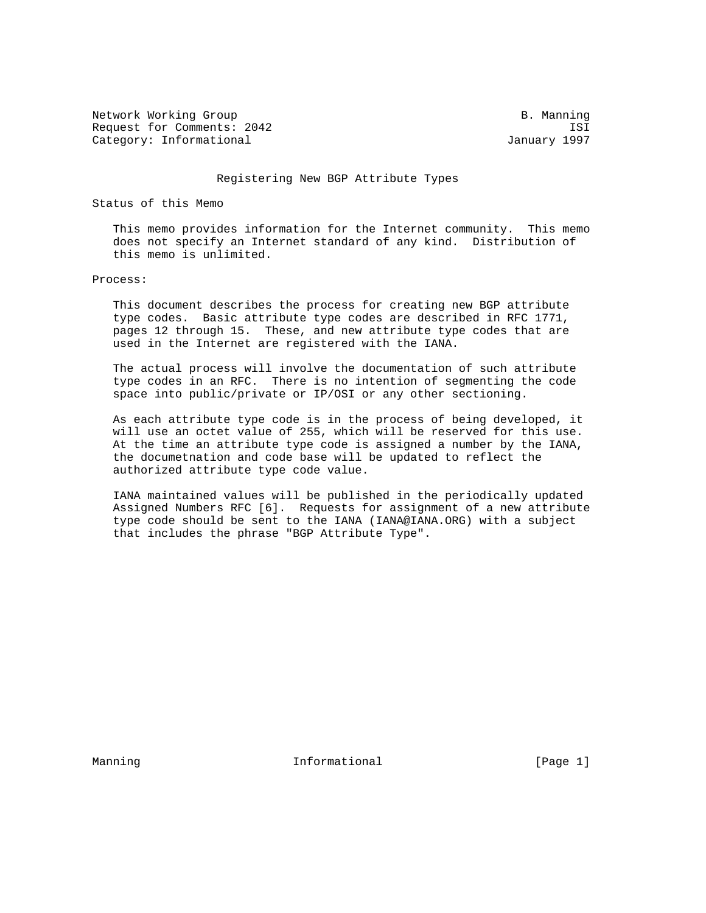Network Working Group and B. Manning B. Manning Request for Comments: 2042 ISI Category: Informational and Category: Informational and January 1997

## Registering New BGP Attribute Types

Status of this Memo

 This memo provides information for the Internet community. This memo does not specify an Internet standard of any kind. Distribution of this memo is unlimited.

Process:

 This document describes the process for creating new BGP attribute type codes. Basic attribute type codes are described in RFC 1771, pages 12 through 15. These, and new attribute type codes that are used in the Internet are registered with the IANA.

 The actual process will involve the documentation of such attribute type codes in an RFC. There is no intention of segmenting the code space into public/private or IP/OSI or any other sectioning.

 As each attribute type code is in the process of being developed, it will use an octet value of 255, which will be reserved for this use. At the time an attribute type code is assigned a number by the IANA, the documetnation and code base will be updated to reflect the authorized attribute type code value.

 IANA maintained values will be published in the periodically updated Assigned Numbers RFC [6]. Requests for assignment of a new attribute type code should be sent to the IANA (IANA@IANA.ORG) with a subject that includes the phrase "BGP Attribute Type".

Manning **Informational Informational** [Page 1]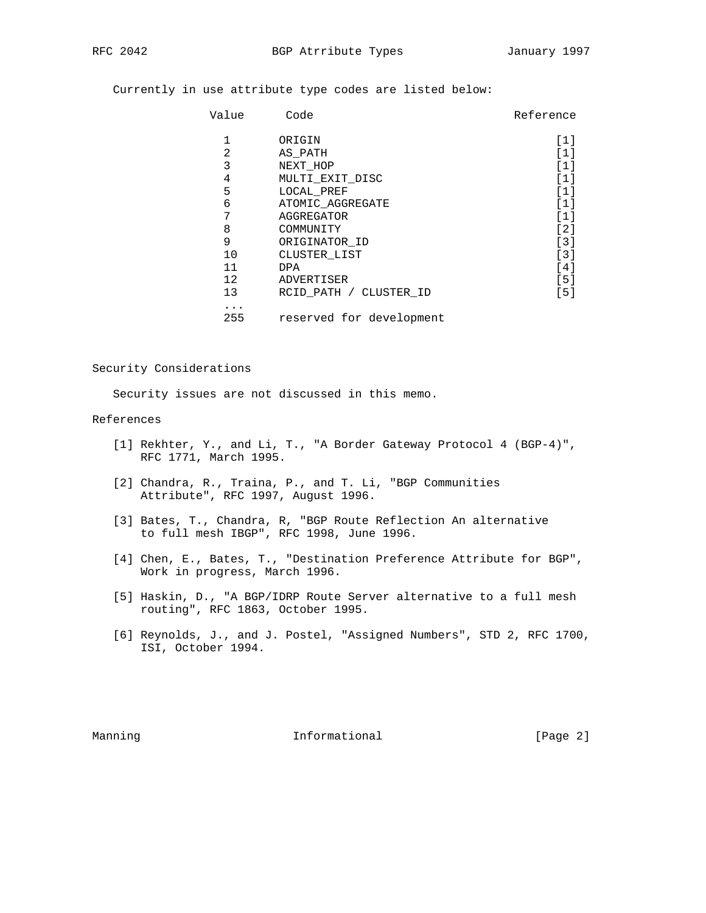Currently in use attribute type codes are listed below:

| Value    | Code                     | Reference |
|----------|--------------------------|-----------|
| 1        | ORIGIN                   | [1]       |
| 2        | AS PATH                  | [1]       |
| 3        | NEXT HOP                 | '1]       |
| 4        | MULTI EXIT DISC          | [1]       |
| 5        | LOCAL PREF               | ี 1 1     |
| 6        | ATOMIC AGGREGATE         | ์ 1 1     |
| 7        | AGGREGATOR               | '1]       |
| 8        | COMMUNITY                | [2]       |
| 9        | ORIGINATOR ID            | $[3]$     |
| 10       | CLUSTER LIST             | [3]       |
| 11       | <b>DPA</b>               | [4]       |
| 12       | ADVERTISER               | [5]       |
| 13       | RCID PATH / CLUSTER ID   | [5]       |
| .<br>255 | reserved for development |           |

Security Considerations

Security issues are not discussed in this memo.

## References

- [1] Rekhter, Y., and Li, T., "A Border Gateway Protocol 4 (BGP-4)", RFC 1771, March 1995.
- [2] Chandra, R., Traina, P., and T. Li, "BGP Communities Attribute", RFC 1997, August 1996.
- [3] Bates, T., Chandra, R, "BGP Route Reflection An alternative to full mesh IBGP", RFC 1998, June 1996.
- [4] Chen, E., Bates, T., "Destination Preference Attribute for BGP", Work in progress, March 1996.
- [5] Haskin, D., "A BGP/IDRP Route Server alternative to a full mesh routing", RFC 1863, October 1995.
- [6] Reynolds, J., and J. Postel, "Assigned Numbers", STD 2, RFC 1700, ISI, October 1994.

Manning **Informational Informational** [Page 2]